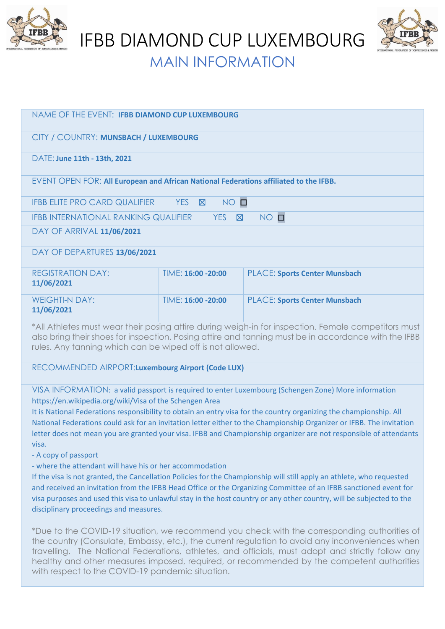

IFBB DIAMOND CUP LUXEMBOURG



MAIN INFORMATION

| NAME OF THE EVENT: IFBB DIAMOND CUP LUXEMBOURG                                                          |                     |                                      |
|---------------------------------------------------------------------------------------------------------|---------------------|--------------------------------------|
| CITY / COUNTRY: MUNSBACH / LUXEMBOURG                                                                   |                     |                                      |
| DATE: June 11th - 13th, 2021                                                                            |                     |                                      |
| EVENT OPEN FOR: All European and African National Federations affiliated to the IFBB.                   |                     |                                      |
| NO O<br>YES <b>X</b><br>IFBB ELITE PRO CARD QUALIFIER                                                   |                     |                                      |
| $NO$ $\square$<br><b>IFBB INTERNATIONAL RANKING QUALIFIER</b><br><b>YES</b><br>$\boxtimes$              |                     |                                      |
| DAY OF ARRIVAL 11/06/2021                                                                               |                     |                                      |
| DAY OF DEPARTURES 13/06/2021                                                                            |                     |                                      |
| <b>REGISTRATION DAY:</b><br>11/06/2021                                                                  | TIME: 16:00 - 20:00 | <b>PLACE: Sports Center Munsbach</b> |
| <b>WEIGHTI-N DAY:</b><br>11/06/2021                                                                     | TIME: 16:00 -20:00  | <b>PLACE: Sports Center Munsbach</b> |
| $*$ All Athlatec must wear their perips attire during weigh in fer increastion. Esmale competitors must |                     |                                      |

\*All Athletes must wear their posing attire during weigh-in for inspection. Female competitors must also bring their shoes for inspection. Posing attire and tanning must be in accordance with the IFBB rules. Any tanning which can be wiped off is not allowed.

RECOMMENDED AIRPORT:**Luxembourg Airport (Code LUX)**

VISA INFORMATION: a valid passport is required to enter Luxembourg (Schengen Zone) More information https://en.wikipedia.org/wiki/Visa of the Schengen Area

It is National Federations responsibility to obtain an entry visa for the country organizing the championship. All National Federations could ask for an invitation letter either to the Championship Organizer or IFBB. The invitation letter does not mean you are granted your visa. IFBB and Championship organizer are not responsible of attendants visa.

- A copy of passport

- where the attendant will have his or her accommodation

If the visa is not granted, the Cancellation Policies for the Championship will still apply an athlete, who requested and received an invitation from the IFBB Head Office or the Organizing Committee of an IFBB sanctioned event for visa purposes and used this visa to unlawful stay in the host country or any other country, will be subjected to the disciplinary proceedings and measures.

\*Due to the COVID-19 situation, we recommend you check with the corresponding authorities of the country (Consulate, Embassy, etc.), the current regulation to avoid any inconveniences when travelling. The National Federations, athletes, and officials, must adopt and strictly follow any healthy and other measures imposed, required, or recommended by the competent authorities with respect to the COVID-19 pandemic situation.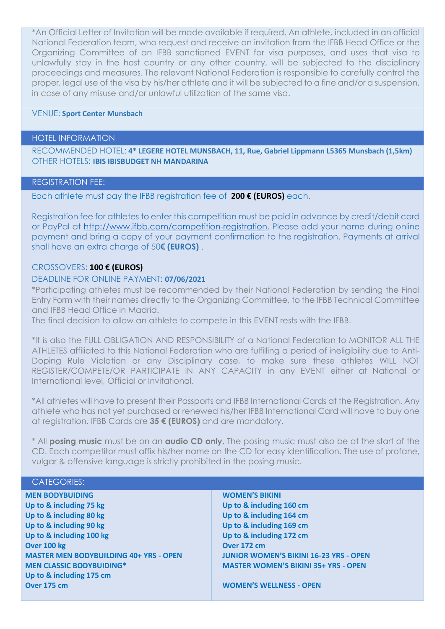\*An Official Letter of Invitation will be made available if required. An athlete, included in an official National Federation team, who request and receive an invitation from the IFBB Head Office or the Organizing Committee of an IFBB sanctioned EVENT for visa purposes, and uses that visa to unlawfully stay in the host country or any other country, will be subjected to the disciplinary proceedings and measures. The relevant National Federation is responsible to carefully control the proper, legal use of the visa by his/her athlete and it will be subjected to a fine and/or a suspension, in case of any misuse and/or unlawful utilization of the same visa.

## VENUE: **Sport Center Munsbach**

#### HOTEL INFORMATION

RECOMMENDED HOTEL: **4\* LEGERE HOTEL MUNSBACH, 11, Rue, Gabriel Lippmann L5365 Munsbach (1,5km)** OTHER HOTELS: **IBIS IBISBUDGET NH MANDARINA**

## REGISTRATION FEE:

Each athlete must pay the IFBB registration fee of **200 € (EUROS)** each.

Registration fee for athletes to enter this competition must be paid in advance by credit/debit card or PayPal at [http://www.ifbb.com/competition-registration.](http://www.ifbb.com/competition-registration) Please add your name during online payment and bring a copy of your payment confirmation to the registration. Payments at arrival shall have an extra charge of 50**€ (EUROS)** .

# CROSSOVERS: **100 € (EUROS)**

## DEADLINE FOR ONLINE PAYMENT: **07/06/2021**

\*Participating athletes must be recommended by their National Federation by sending the Final Entry Form with their names directly to the Organizing Committee, to the IFBB Technical Committee and IFBB Head Office in Madrid.

The final decision to allow an athlete to compete in this EVENT rests with the IFBB.

\*It is also the FULL OBLIGATION AND RESPONSIBILITY of a National Federation to MONITOR ALL THE ATHLETES affiliated to this National Federation who are fulfilling a period of ineligibility due to Anti-Doping Rule Violation or any Disciplinary case, to make sure these athletes WILL NOT REGISTER/COMPETE/OR PARTICIPATE IN ANY CAPACITY in any EVENT either at National or International level, Official or Invitational.

\*All athletes will have to present their Passports and IFBB International Cards at the Registration. Any athlete who has not yet purchased or renewed his/her IFBB International Card will have to buy one at registration. IFBB Cards are **35 € (EUROS)** and are mandatory.

\* All **posing music** must be on an **audio CD only.** The posing music must also be at the start of the CD. Each competitor must affix his/her name on the CD for easy identification. The use of profane, vulgar & offensive language is strictly prohibited in the posing music.

#### CATEGORIES:

**MEN BODYBUIDING Up to & including 75 kg Up to & including 80 kg Up to & including 90 kg Up to & including 100 kg Over 100 kg MASTER MEN BODYBUILDING 40+ YRS - OPEN MEN CLASSIC BODYBUIDING\* Up to & including 175 cm Over 175 cm**

## **WOMEN'S BIKINI Up to & including 160 cm Up to & including 164 cm Up to & including 169 cm Up to & including 172 cm Over 172 cm JUNIOR WOMEN'S BIKINI 16-23 YRS - OPEN MASTER WOMEN'S BIKINI 35+ YRS - OPEN**

**WOMEN'S WELLNESS - OPEN**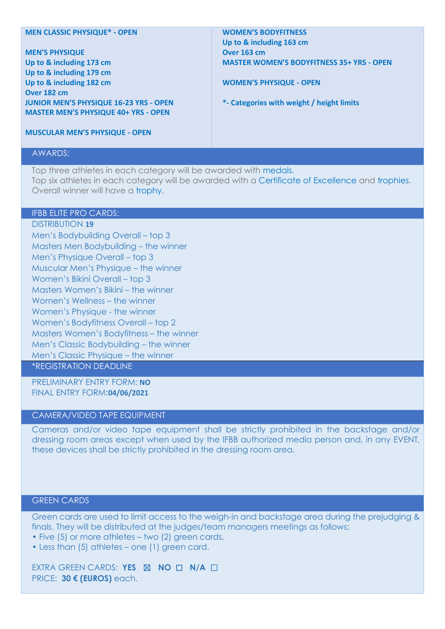#### **MEN CLASSIC PHYSIQUE\* - OPEN**

**MEN'S PHYSIQUE Up to & including 173 cm Up to & including 179 cm Up to & including 182 cm Over 182 cm JUNIOR MEN'S PHYSIQUE 16-23 YRS - OPEN MASTER MEN'S PHYSIQUE 40+ YRS - OPEN**

### **WOMEN'S BODYFITNESS Up to & including 163 cm Over 163 cm MASTER WOMEN'S BODYFITNESS 35+ YRS - OPEN**

**WOMEN'S PHYSIQUE - OPEN**

**\*- Categories with weight / height limits**

**MUSCULAR MEN'S PHYSIQUE - OPEN**

### AWARDS:

Top three athletes in each category will be awarded with medals. Top six athletes in each category will be awarded with a Certificate of Excellence and trophies. Overall winner will have a trophy.

## IFBB ELITE PRO CARDS:

DISTRIBUTION **19** Men's Bodybuilding Overall – top 3 Masters Men Bodybuilding – the winner Men's Physique Overall – top 3 Muscular Men's Physique – the winner Women's Bikini Overall – top 3 Masters Women's Bikini – the winner Women's Wellness – the winner Women's Physique - the winner Women's Bodyfitness Overall – top 2 Masters Women's Bodyfitness – the winner Men's Classic Bodybuilding – the winner Men's Classic Physique – the winner

\*REGISTRATION DEADLINE

PRELIMINARY ENTRY FORM: **NO**  FINAL ENTRY FORM:**04/06/2021**

## CAMERA/VIDEO TAPE EQUIPMENT

Cameras and/or video tape equipment shall be strictly prohibited in the backstage and/or dressing room areas except when used by the IFBB authorized media person and, in any EVENT, these devices shall be strictly prohibited in the dressing room area.

## GREEN CARDS

Green cards are used to limit access to the weigh-in and backstage area during the prejudging & finals. They will be distributed at the judges/team managers meetings as follows:

- Five (5) or more athletes two (2) green cards.
- Less than (5) athletes one (1) green card.

EXTRA GREEN CARDS: **YES** ☒ **NO** ☐ **N/A** ☐ PRICE: **30 € (EUROS)** each.